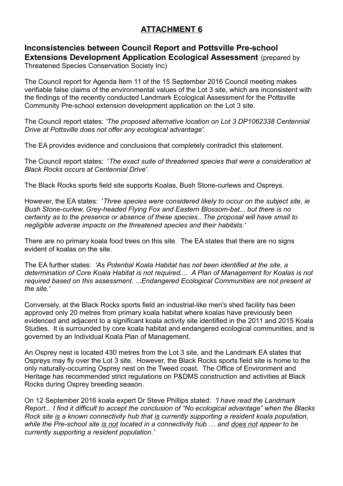## **ATTACHMENT 6**

## **Inconsistencies between Council Report and Pottsville Pre-school Extensions Development Application Ecological Assessment** (prepared by

Threatened Species Conservation Society Inc)

The Council report for Agenda Item 11 of the 15 September 2016 Council meeting makes verifiable false claims of the environmental values of the Lot 3 site, which are inconsistent with the findings of the recently conducted Landmark Ecological Assessment for the Pottsville Community Pre-school extension development application on the Lot 3 site.

The Council report states: *'The proposed alternative location on Lot 3 DP1062338 Centennial Drive at Pottsville does not offer any ecological advantage'.* 

The EA provides evidence and conclusions that completely contradict this statement.

The Council report states: '*The exact suite of threatened species that were a consideration at Black Rocks occurs at Centennial Drive'.*

The Black Rocks sports field site supports Koalas, Bush Stone-curlews and Ospreys.

However, the EA states: '*Three species were considered likely to occur on the subject site, ie Bush Stone-curlew, Grey-headed Flying Fox and Eastern Blossom-bat... but there is no certainty as to the presence or absence of these species...The proposal will have small to negligible adverse impacts on the threatened species and their habitats.'* 

There are no primary koala food trees on this site. The EA states that there are no signs evident of koalas on the site.

The EA further states: *'As Potential Koala Habitat has not been identified at the site, a determination of Core Koala Habitat is not required.... A Plan of Management for Koalas is not required based on this assessment. ...Endangered Ecological Communities are not present at the site.'* 

Conversely, at the Black Rocks sports field an industrial-like men's shed facility has been approved only 20 metres from primary koala habitat where koalas have previously been evidenced and adjacent to a significant koala activity site identified in the 2011 and 2015 Koala Studies. It is surrounded by core koala habitat and endangered ecological communities, and is governed by an Individual Koala Plan of Management.

An Osprey nest is located 430 metres from the Lot 3 site, and the Landmark EA states that Ospreys may fly over the Lot 3 site. However, the Black Rocks sports field site is home to the only naturally-occurring Osprey nest on the Tweed coast. The Office of Environment and Heritage has recommended strict regulations on P&DMS construction and activities at Black Rocks during Osprey breeding season.

On 12 September 2016 koala expert Dr Steve Phillips stated: *'I have read the Landmark Report... I find it difficult to accept the conclusion of "No ecological advantage" when the Blacks Rock site is a known connectivity hub that is currently supporting a resident koala population, while the Pre-school site is not located in a connectivity hub … and does not appear to be currently supporting a resident population.'*